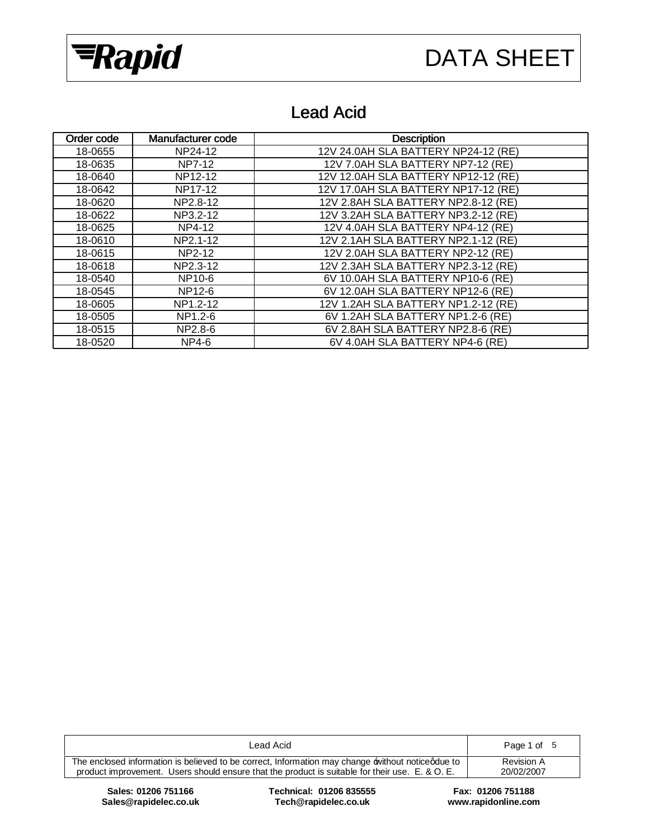



## Lead Acid

| Order code | Manufacturer code | <b>Description</b>                  |
|------------|-------------------|-------------------------------------|
| 18-0655    | NP24-12           | 12V 24.0AH SLA BATTERY NP24-12 (RE) |
| 18-0635    | NP7-12            | 12V 7.0AH SLA BATTERY NP7-12 (RE)   |
| 18-0640    | NP12-12           | 12V 12.0AH SLA BATTERY NP12-12 (RE) |
| 18-0642    | NP17-12           | 12V 17.0AH SLA BATTERY NP17-12 (RE) |
| 18-0620    | NP2.8-12          | 12V 2.8AH SLA BATTERY NP2.8-12 (RE) |
| 18-0622    | NP3.2-12          | 12V 3.2AH SLA BATTERY NP3.2-12 (RE) |
| 18-0625    | NP4-12            | 12V 4.0AH SLA BATTERY NP4-12 (RE)   |
| 18-0610    | NP2.1-12          | 12V 2.1AH SLA BATTERY NP2.1-12 (RE) |
| 18-0615    | NP2-12            | 12V 2.0AH SLA BATTERY NP2-12 (RE)   |
| 18-0618    | NP2.3-12          | 12V 2.3AH SLA BATTERY NP2.3-12 (RE) |
| 18-0540    | NP10-6            | 6V 10.0AH SLA BATTERY NP10-6 (RE)   |
| 18-0545    | NP12-6            | 6V 12.0AH SLA BATTERY NP12-6 (RE)   |
| 18-0605    | NP1.2-12          | 12V 1.2AH SLA BATTERY NP1.2-12 (RE) |
| 18-0505    | NP1.2-6           | 6V 1.2AH SLA BATTERY NP1.2-6 (RE)   |
| 18-0515    | NP2.8-6           | 6V 2.8AH SLA BATTERY NP2.8-6 (RE)   |
| 18-0520    | NP4-6             | 6V 4.0AH SLA BATTERY NP4-6 (RE)     |

| Lead Acid                                                                                         | Page 1 of 5 |
|---------------------------------------------------------------------------------------------------|-------------|
| The enclosed information is believed to be correct, Information may change without noticed due to | Revision A  |
| product improvement. Users should ensure that the product is suitable for their use. E. & O. E.   | 20/02/2007  |

 $Sales@rapidelec.co.uk$ 

**Sales: 01206 751166 Technical: 01206 835555 Fax: 01206 751188**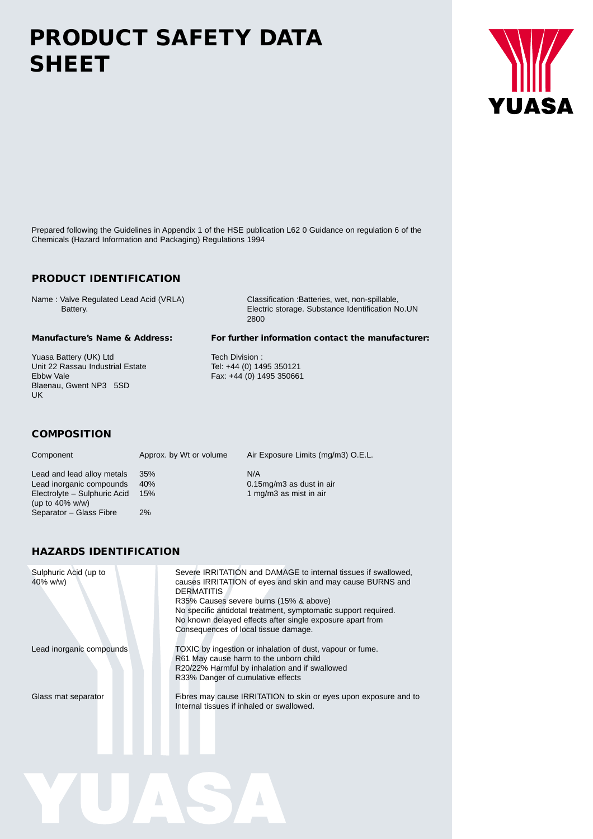# **PRODUCT SAFETY DATA SHEET**

Prepared following the Guidelines in Appendix 1 of the HSE publication L62 0 Guidance on regulation 6 of the Chemicals (Hazard Information and Packaging) Regulations 1994

### **PRODUCT IDENTIFICATION**

Name : Valve Regulated Lead Acid (VRLA) Classification :Batteries, wet, non-spillable, Battery. Electric storage. Substance Identification No.UN 2800

Yuasa Battery (UK) Ltd Tech Division : Unit 22 Rassau Industrial Estate<br>Ebbw Vale Blaenau, Gwent NP3 5SD UK

#### **Manufacture's Name & Address: For further information contact the manufacturer:**

Tel: +44 (0) 1495 350121<br>Fax: +44 (0) 1495 350661

#### **COMPOSITION**

Lead and lead alloy metals 35% N/A<br>
Lead inorganic compounds 40% N/A<br>
0.15mg/m3 as dust in air (up to 40% w/w)

Component Approx. by Wt or volume Air Exposure Limits (mg/m3) O.E.L.

Lead inorganic compounds 40% 0.15mg/m3 as dust in a<br>Electrolyte – Sulphuric Acid 15% 1 mg/m3 as mist in air Electrolyte – Sulphuric Acid 15% Separator – Glass Fibre 2%

#### **HAZARDS IDENTIFICATION**

| Sulphuric Acid (up to<br>$40\%$ w/w) | Severe IRRITATION and DAMAGE to internal tissues if swallowed.<br>causes IRRITATION of eyes and skin and may cause BURNS and<br><b>DERMATITIS</b><br>R35% Causes severe burns (15% & above)<br>No specific antidotal treatment, symptomatic support required.<br>No known delayed effects after single exposure apart from<br>Consequences of local tissue damage. |
|--------------------------------------|--------------------------------------------------------------------------------------------------------------------------------------------------------------------------------------------------------------------------------------------------------------------------------------------------------------------------------------------------------------------|
| Lead inorganic compounds             | TOXIC by ingestion or inhalation of dust, vapour or fume.<br>R61 May cause harm to the unborn child<br>R20/22% Harmful by inhalation and if swallowed<br>R33% Danger of cumulative effects                                                                                                                                                                         |
| Glass mat separator                  | Fibres may cause IRRITATION to skin or eyes upon exposure and to<br>Internal tissues if inhaled or swallowed.                                                                                                                                                                                                                                                      |

R

 $\overline{\mathbb{A}}$ 

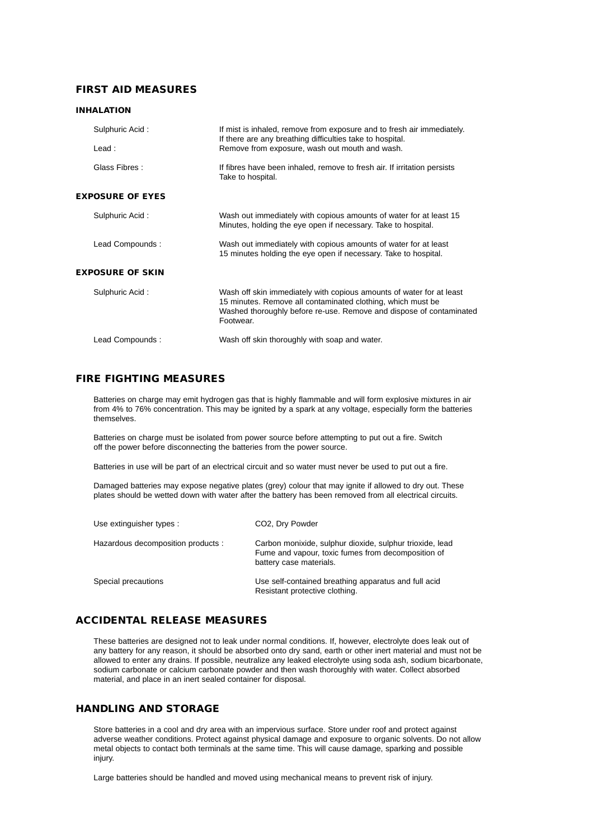#### **FIRST AID MEASURES**

#### **INHALATION**

| Sulphuric Acid:         | If mist is inhaled, remove from exposure and to fresh air immediately.<br>If there are any breathing difficulties take to hospital.                                                                                     |
|-------------------------|-------------------------------------------------------------------------------------------------------------------------------------------------------------------------------------------------------------------------|
| $\text{lead}:$          | Remove from exposure, wash out mouth and wash.                                                                                                                                                                          |
| Glass Fibres:           | If fibres have been inhaled, remove to fresh air. If irritation persists<br>Take to hospital.                                                                                                                           |
| <b>EXPOSURE OF EYES</b> |                                                                                                                                                                                                                         |
| Sulphuric Acid:         | Wash out immediately with copious amounts of water for at least 15<br>Minutes, holding the eye open if necessary. Take to hospital.                                                                                     |
| Lead Compounds:         | Wash out immediately with copious amounts of water for at least<br>15 minutes holding the eye open if necessary. Take to hospital.                                                                                      |
| EXPOSURE OF SKIN        |                                                                                                                                                                                                                         |
| Sulphuric Acid:         | Wash off skin immediately with copious amounts of water for at least<br>15 minutes. Remove all contaminated clothing, which must be<br>Washed thoroughly before re-use. Remove and dispose of contaminated<br>Footwear. |
| Lead Compounds:         | Wash off skin thoroughly with soap and water.                                                                                                                                                                           |

#### **FIRE FIGHTING MEASURES**

Batteries on charge may emit hydrogen gas that is highly flammable and will form explosive mixtures in air from 4% to 76% concentration. This may be ignited by a spark at any voltage, especially form the batteries themselves.

Batteries on charge must be isolated from power source before attempting to put out a fire. Switch off the power before disconnecting the batteries from the power source.

Batteries in use will be part of an electrical circuit and so water must never be used to put out a fire.

Damaged batteries may expose negative plates (grey) colour that may ignite if allowed to dry out. These plates should be wetted down with water after the battery has been removed from all electrical circuits.

| Use extinguisher types :           | CO <sub>2</sub> , Dry Powder                                                                                                              |
|------------------------------------|-------------------------------------------------------------------------------------------------------------------------------------------|
| Hazardous decomposition products : | Carbon monixide, sulphur dioxide, sulphur trioxide, lead<br>Fume and vapour, toxic fumes from decomposition of<br>battery case materials. |
| Special precautions                | Use self-contained breathing apparatus and full acid<br>Resistant protective clothing.                                                    |

#### **ACCIDENTAL RELEASE MEASURES**

These batteries are designed not to leak under normal conditions. If, however, electrolyte does leak out of any battery for any reason, it should be absorbed onto dry sand, earth or other inert material and must not be allowed to enter any drains. If possible, neutralize any leaked electrolyte using soda ash, sodium bicarbonate, sodium carbonate or calcium carbonate powder and then wash thoroughly with water. Collect absorbed material, and place in an inert sealed container for disposal.

#### **HANDLING AND STORAGE**

Store batteries in a cool and dry area with an impervious surface. Store under roof and protect against adverse weather conditions. Protect against physical damage and exposure to organic solvents. Do not allow metal objects to contact both terminals at the same time. This will cause damage, sparking and possible injury.

Large batteries should be handled and moved using mechanical means to prevent risk of injury.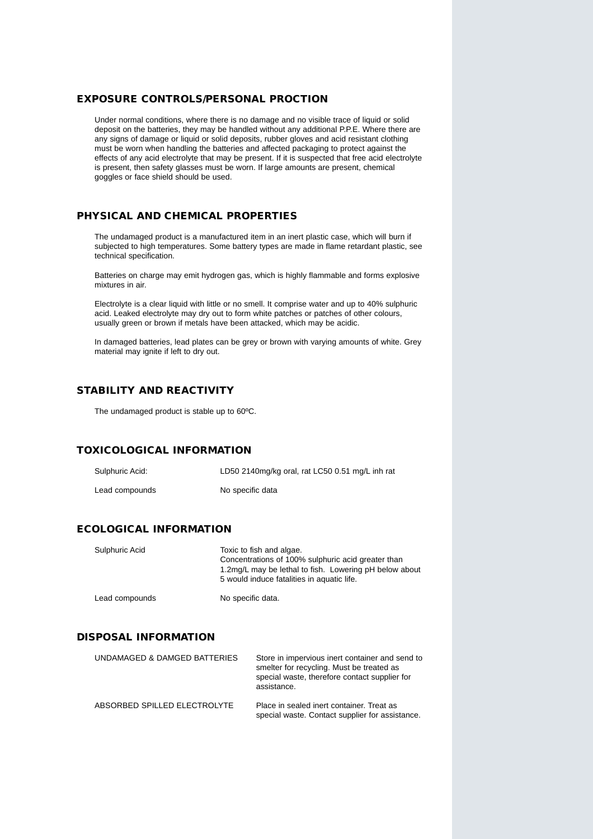#### **EXPOSURE CONTROLS/PERSONAL PROCTION**

Under normal conditions, where there is no damage and no visible trace of liquid or solid deposit on the batteries, they may be handled without any additional P.P.E. Where there are any signs of damage or liquid or solid deposits, rubber gloves and acid resistant clothing must be worn when handling the batteries and affected packaging to protect against the effects of any acid electrolyte that may be present. If it is suspected that free acid electrolyte is present, then safety glasses must be worn. If large amounts are present, chemical goggles or face shield should be used.

#### **PHYSICAL AND CHEMICAL PROPERTIES**

The undamaged product is a manufactured item in an inert plastic case, which will burn if subjected to high temperatures. Some battery types are made in flame retardant plastic, see technical specification.

Batteries on charge may emit hydrogen gas, which is highly flammable and forms explosive mixtures in air.

Electrolyte is a clear liquid with little or no smell. It comprise water and up to 40% sulphuric acid. Leaked electrolyte may dry out to form white patches or patches of other colours, usually green or brown if metals have been attacked, which may be acidic.

In damaged batteries, lead plates can be grey or brown with varying amounts of white. Grey material may ignite if left to dry out.

#### **STABILITY AND REACTIVITY**

The undamaged product is stable up to 60ºC.

#### **TOXICOLOGICAL INFORMATION**

| Sulphuric Acid: | LD50 2140mg/kg oral, rat LC50 0.51 mg/L inh rat |
|-----------------|-------------------------------------------------|
| Lead compounds  | No specific data                                |

#### **ECOLOGICAL INFORMATION**

| Sulphuric Acid | Toxic to fish and algae.<br>Concentrations of 100% sulphuric acid greater than<br>1.2mg/L may be lethal to fish. Lowering pH below about<br>5 would induce fatalities in aquatic life. |
|----------------|----------------------------------------------------------------------------------------------------------------------------------------------------------------------------------------|
| Lead compounds | No specific data.                                                                                                                                                                      |

#### **DISPOSAL INFORMATION**

| UNDAMAGED & DAMGED BATTERIES | Store in impervious inert container and send to<br>smelter for recycling. Must be treated as<br>special waste, therefore contact supplier for<br>assistance. |
|------------------------------|--------------------------------------------------------------------------------------------------------------------------------------------------------------|
| ABSORBED SPILLED ELECTROLYTE | Place in sealed inert container. Treat as<br>special waste. Contact supplier for assistance.                                                                 |